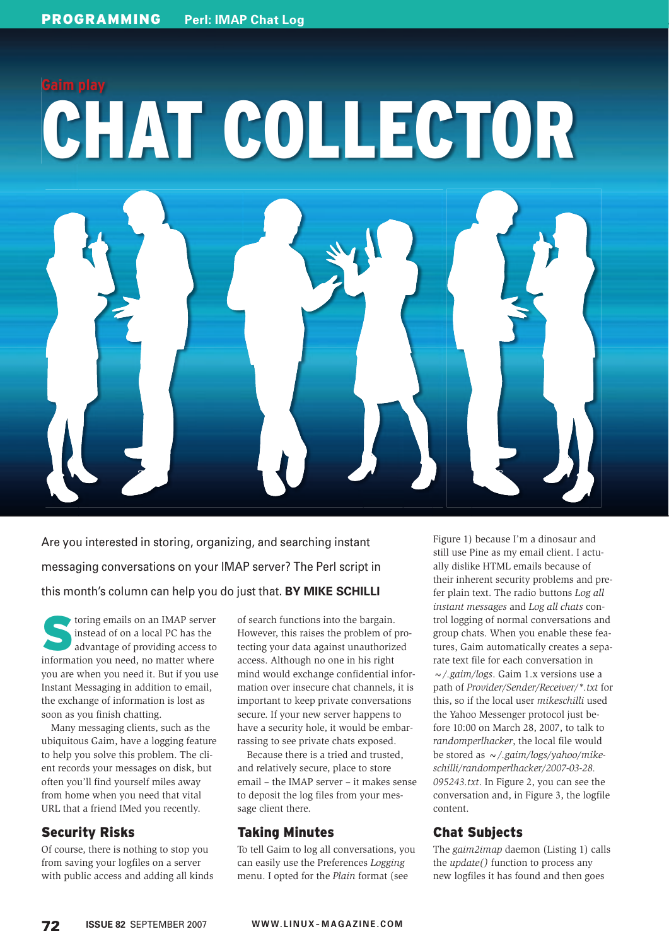# **Gaim play** CHAT COLLECTOR

Are you interested in storing, organizing, and searching instant messaging conversations on your IMAP server? The Perl script in this month's column can help you do just that. **BY MIKE SCHILLI**

toring emails on an IMAP server instead of on a local PC has the advantage of providing access to information you need, no matter where you are when you need it. But if you use Instant Messaging in addition to email, the exchange of information is lost as soon as you finish chatting.

Many messaging clients, such as the ubiquitous Gaim, have a logging feature to help you solve this problem. The client records your messages on disk, but often you'll find yourself miles away from home when you need that vital URL that a friend IMed you recently.

# Security Risks

Of course, there is nothing to stop you from saving your logfiles on a server with public access and adding all kinds of search functions into the bargain. However, this raises the problem of protecting your data against unauthorized access. Although no one in his right mind would exchange confidential information over insecure chat channels, it is important to keep private conversations secure. If your new server happens to have a security hole, it would be embarrassing to see private chats exposed.

Because there is a tried and trusted, and relatively secure, place to store email – the IMAP server – it makes sense to deposit the log files from your message client there.

# Taking Minutes

To tell Gaim to log all conversations, you can easily use the Preferences *Logging* menu. I opted for the *Plain* format (see

Figure 1) because I'm a dinosaur and still use Pine as my email client. I actually dislike HTML emails because of their inherent security problems and prefer plain text. The radio buttons *Log all instant messages* and *Log all chats* control logging of normal conversations and group chats. When you enable these features, Gaim automatically creates a separate text file for each conversation in *~/.gaim/logs*. Gaim 1.x versions use a path of *Provider/Sender/Receiver/\*.txt* for this, so if the local user *mikeschilli* used the Yahoo Messenger protocol just before 10:00 on March 28, 2007, to talk to *randomperlhacker*, the local file would be stored as *~/.gaim/logs/yahoo/mikeschilli/randomperlhacker/2007-03-28. 095243.txt*. In Figure 2, you can see the conversation and, in Figure 3, the logfile content.

# Chat Subjects

The *gaim2imap* daemon (Listing 1) calls the *update()* function to process any new logfiles it has found and then goes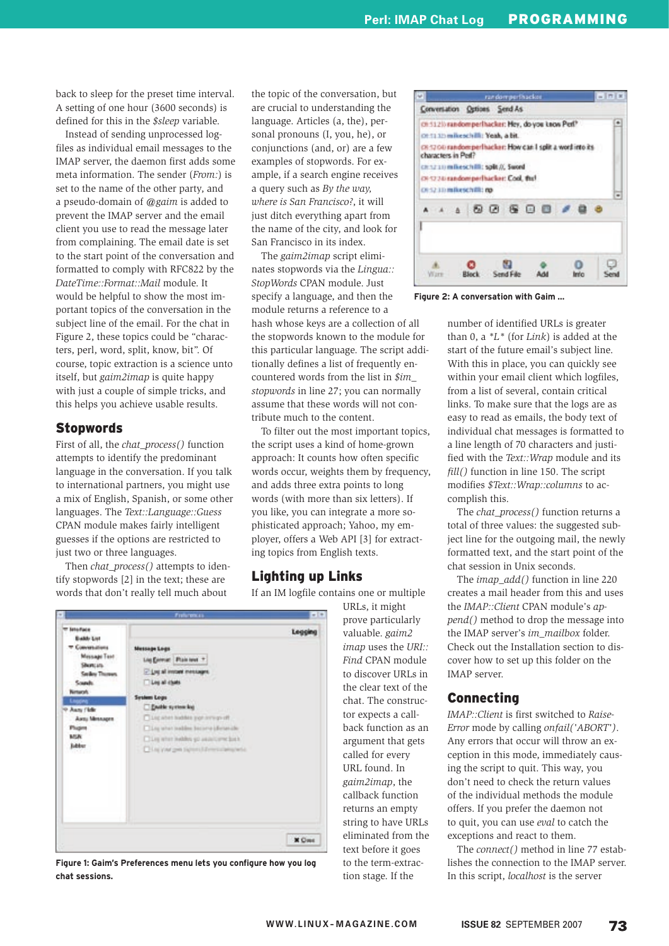back to sleep for the preset time interval. A setting of one hour (3600 seconds) is defined for this in the *\$sleep* variable.

Instead of sending unprocessed logfiles as individual email messages to the IMAP server, the daemon first adds some meta information. The sender (*From:*) is set to the name of the other party, and a pseudo-domain of *@gaim* is added to prevent the IMAP server and the email client you use to read the message later from complaining. The email date is set to the start point of the conversation and formatted to comply with RFC822 by the *DateTime::Format::Mail* module. It would be helpful to show the most important topics of the conversation in the subject line of the email. For the chat in Figure 2, these topics could be "characters, perl, word, split, know, bit". Of course, topic extraction is a science unto itself, but *gaim2imap* is quite happy with just a couple of simple tricks, and this helps you achieve usable results.

## Stopwords

First of all, the *chat\_process()* function attempts to identify the predominant language in the conversation. If you talk to international partners, you might use a mix of English, Spanish, or some other languages. The *Text::Language::Guess* CPAN module makes fairly intelligent guesses if the options are restricted to just two or three languages.

Then *chat\_process()* attempts to identify stopwords [2] in the text; these are words that don't really tell much about

the topic of the conversation, but are crucial to understanding the language. Articles (a, the), personal pronouns (I, you, he), or conjunctions (and, or) are a few examples of stopwords. For example, if a search engine receives a query such as *By the way, where is San Francisco?*, it will just ditch everything apart from the name of the city, and look for San Francisco in its index.

The *gaim2imap* script eliminates stopwords via the *Lingua:: StopWords* CPAN module. Just specify a language, and then the module returns a reference to a hash whose keys are a collection of all the stopwords known to the module for this particular language. The script additionally defines a list of frequently encountered words from the list in *\$im\_ stopwords* in line 27; you can normally assume that these words will not contribute much to the content.

To filter out the most important topics, the script uses a kind of home-grown approach: It counts how often specific words occur, weights them by frequency, and adds three extra points to long words (with more than six letters). If you like, you can integrate a more sophisticated approach; Yahoo, my employer, offers a Web API [3] for extracting topics from English texts.

# Lighting up Links

If an IM logfile contains one or multiple

URLs, it might prove particularly valuable. *gaim2 imap* uses the *URI:: Find* CPAN module to discover URLs in the clear text of the chat. The constructor expects a callback function as an argument that gets called for every URL found. In *gaim2imap*, the callback function returns an empty string to have URLs eliminated from the text before it goes to the term-extraction stage. If the



**Figure 1: Gaim's Preferences menu lets you configure how you log** to the term-extrac-lishes the connection to the IM<br>tion stage. If the lishes script, *localhost* is the se<br>WWW.LINUX-MAGAZINE.COM ISSUE 82 SEPTEMBER 2007 **chat sessions.**



**Figure 2: A conversation with Gaim …**

number of identified URLs is greater than 0, a *\*L\** (for *Link*) is added at the start of the future email's subject line. With this in place, you can quickly see within your email client which logfiles, from a list of several, contain critical links. To make sure that the logs are as easy to read as emails, the body text of individual chat messages is formatted to a line length of 70 characters and justified with the *Text::Wrap* module and its *fill()* function in line 150. The script modifies *\$Text::Wrap::columns* to accomplish this.

The *chat\_process()* function returns a total of three values: the suggested subject line for the outgoing mail, the newly formatted text, and the start point of the chat session in Unix seconds.

The *imap\_add()* function in line 220 creates a mail header from this and uses the *IMAP::Client* CPAN module's *append()* method to drop the message into the IMAP server's *im\_mailbox* folder. Check out the Installation section to discover how to set up this folder on the IMAP server.

# Connecting

*IMAP::Client* is first switched to *Raise-Error* mode by calling *onfail('ABORT')*. Any errors that occur will throw an exception in this mode, immediately causing the script to quit. This way, you don't need to check the return values of the individual methods the module offers. If you prefer the daemon not to quit, you can use *eval* to catch the exceptions and react to them.

The *connect()* method in line 77 establishes the connection to the IMAP server. In this script, *localhost* is the server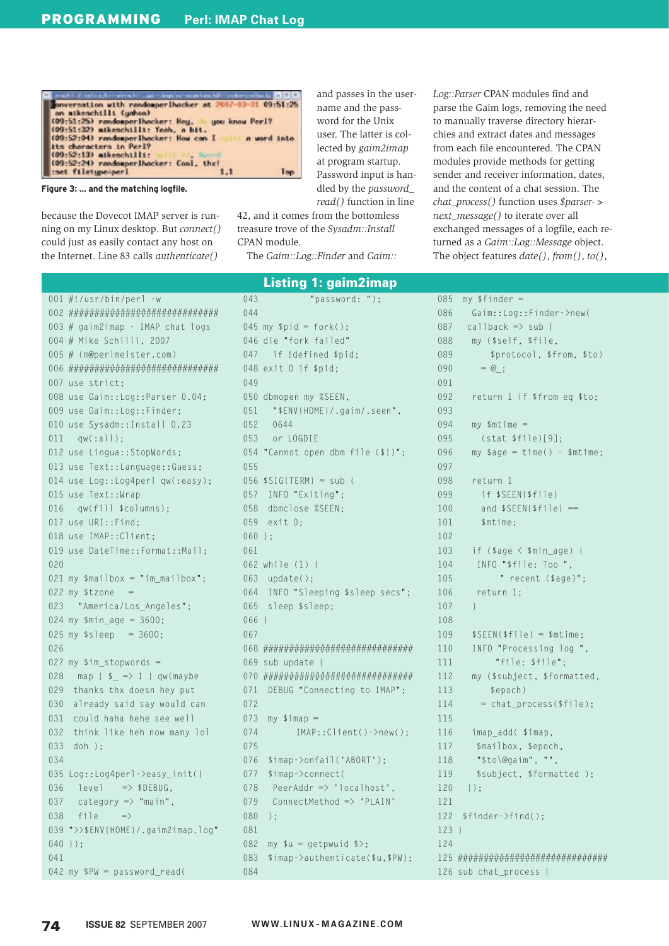



because the Dovecot IMAP server is running on my Linux desktop. But connect() could just as easily contact any host on the Internet. Line 83 calls *authenticate()* 

and passes in the username and the password for the Unix user. The latter is collected by gaim2imap at program startup. Password input is handled by the password\_ read() function in line

42, and it comes from the bottomless treasure trove of the Sysadm::Install CPAN module.

The Gaim::Log::Finder and Gaim::

**Listing 1: gaim2imap** 

Log:: Parser CPAN modules find and parse the Gaim logs, removing the need to manually traverse directory hierarchies and extract dates and messages from each file encountered. The CPAN modules provide methods for getting sender and receiver information, dates, and the content of a chat session. The chat\_process() function uses \$parser-> next\_message() to iterate over all exchanged messages of a logfile, each returned as a Gaim::Log::Message object. The object features  $date(),from(),to(),$ 

|     | 001 #!/usr/bin/perl -w              |
|-----|-------------------------------------|
|     |                                     |
| 003 | # gaim2imap - IMAP chat logs        |
|     | 004 # Mike Schilli, 2007            |
| 005 | # (m@perlmeister.com)               |
| 006 |                                     |
| 007 | use strict:                         |
| 008 | use Gaim::Log::Parser 0.04;         |
| 009 | use Gaim::Log::Finder;              |
|     | 010 use Sysadm:: Install 0.23       |
| 011 | qw(:all);                           |
|     | 012 use Lingua::StopWords;          |
|     | 013 use Text::Language::Guess;      |
| 014 | use Log::Log4perl qw(:easy);        |
| 015 | use Text:: Wrap                     |
| 016 | qw(fill \$columns);                 |
|     | 017 use URI::Find;                  |
|     | 018 use IMAP:: Client;              |
| 019 | use DateTime::Format::Mail;         |
| 020 |                                     |
|     | 021 my $$mailbox = "im_mailbox";$   |
|     | $022$ my \$tzone =                  |
| 023 | "America/Los_Angeles";              |
|     | 024 my $$min\_age = 3600;$          |
| 025 | my $$s]eep = 3600$ ;                |
| 026 |                                     |
| 027 | $my$ \$im_stopwords =               |
| 028 | map { $\frac{1}{2}$ => 1 } qw(maybe |
| 029 | thanks thx doesn hey put            |
| 030 | already said say would can          |
| 031 | could haha hehe see well            |
| 032 | think like heh now many lol         |
| 033 | doh );                              |
| 034 |                                     |
|     | 035 Log::Log4perl->easy_init({      |
| 036 | $\Rightarrow$ \$DEBUG,<br>level     |
| 037 | category $\Rightarrow$ "main",      |
| 038 | file<br>$\Rightarrow$               |
| 039 | ">>\$ENV{HOME}/.gaim2imap.log"      |
| 040 | $\vert$ );                          |
| 041 |                                     |
|     | 042 my \$PW = password_read(        |

| 043      | "password: ");                              |
|----------|---------------------------------------------|
| 044      |                                             |
|          | $045$ my $$pid = fork()$ ;                  |
|          | 046 die "fork failed"                       |
| 047      | if !defined \$pid;                          |
| 048      | exist 0 if \$pid;                           |
| 049      |                                             |
|          | 050 dbmopen my %SEEN,                       |
| 051      | "\$ENV{HOME}/.gaim/.seen",                  |
| 052      | 0644                                        |
| 053      | or LOGDIE                                   |
| 054      | "Cannot open dbm file (\$!)";               |
| 055      |                                             |
|          | $056$ \$SIG{TERM} = sub {                   |
| 057      | INFO "Exiting";                             |
| 058      | dbmclose %SEEN;                             |
|          | 059 exit 0;                                 |
| $060$ }; |                                             |
| 061      |                                             |
|          | 062 while (1) {                             |
| 063      | update();                                   |
|          | 064 INFO "Sleeping \$sleep secs";           |
|          | 065 sleep \$sleep;                          |
| 066      | $\left\vert \cdot\right\vert$               |
| 067      |                                             |
| 068      |                                             |
| 069      | sub update {                                |
| 070      |                                             |
| 071      | DEBUG "Connecting to IMAP";                 |
| 072      |                                             |
| 073      | $my$ \$imap =                               |
| 074      | $IMAP::Client()->new()$ ;                   |
| 075      |                                             |
| 076      | $\frac{1}{2}$ imap->onfail('ABORT');        |
| 077      | \$imap->connect(                            |
| 078      | PeerAddr => 'localhost',                    |
| 079      | ConnectMethod => 'PLAIN'                    |
| 080      | $)$ ;                                       |
| 081      |                                             |
| 082      | my $\text{su} = \text{getpwind}$ \$>;       |
| 083      | $\frac{1}{2}$ imap->authenticate(\$u,\$PW); |
| 084      |                                             |

| 085 | $my$ \$finder =                 |
|-----|---------------------------------|
| 086 | Gaim::Log::Finder->new(         |
| 087 | $cal1$ back $\Rightarrow$ sub { |
| 088 | my (\$self, \$file,             |
| 089 | \$protocol, \$from, \$to)       |
| 090 | $= \omega$ ;                    |
| 091 |                                 |
| 092 | return 1 if \$from eq \$to;     |
| 093 |                                 |
| 094 | $my$ \$mtime =                  |
| 095 | (stat \$file)[9];               |
| 096 | $my$ \$age = time() - \$mtime;  |
| 097 |                                 |
| 098 | return 1                        |
| 099 | if \$SEEN{\$file}               |
| 100 | and $\SSEEN\{\$file\}$ ==       |
| 101 | \$mtime;                        |
| 102 |                                 |
| 103 | if $(sage < $min\_age)$ {       |
| 104 | INFO "\$file: Too ",            |
| 105 | " recent (\$age)";              |
| 106 | return 1;                       |
| 107 | $\mathcal{F}$                   |
| 108 |                                 |
| 109 | $$SEEN$fille$ = $mitime;$       |
| 110 | INFO "Processing log ",         |
| 111 | "file: \$file";                 |
| 112 | my (\$subject, \$formatted,     |
| 113 | \$epoch)                        |
| 114 | = chat_process(\$file);         |
| 115 |                                 |
| 116 | imap_add( \$imap,               |
| 117 | \$mailbox, \$epoch,             |
| 118 | "\$to\@gaim", "",               |
| 119 | \$subject, \$formatted );       |
| 120 | $\vert \cdot \rangle$ :         |
| 121 |                                 |
| 122 | $$finder~ >find()$ ;            |
| 123 | Ł                               |
| 124 |                                 |
| 125 |                                 |
| 126 | sub chat_process {              |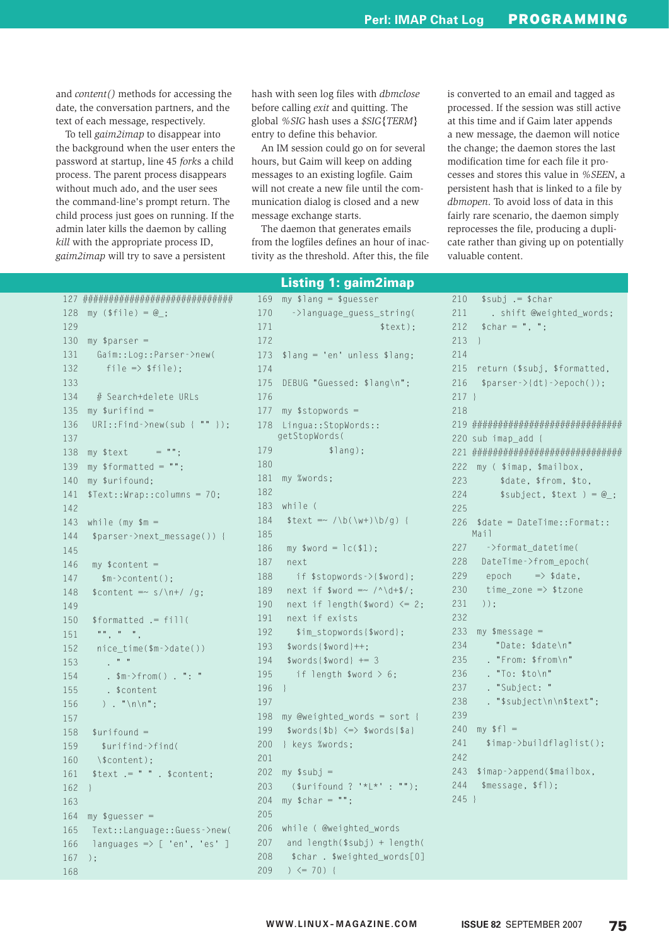and *content()* methods for accessing the date, the conversation partners, and the text of each message, respectively.

To tell *gaim2imap* to disappear into the background when the user enters the password at startup, line 45 *fork*s a child process. The parent process disappears without much ado, and the user sees the command-line's prompt return. The child process just goes on running. If the admin later kills the daemon by calling *kill* with the appropriate process ID, *gaim2imap* will try to save a persistent

hash with seen log files with *dbmclose* before calling *exit* and quitting. The global *%SIG* hash uses a *\$SIG{TERM}* entry to define this behavior.

An IM session could go on for several hours, but Gaim will keep on adding messages to an existing logfile. Gaim will not create a new file until the communication dialog is closed and a new message exchange starts.

The daemon that generates emails from the logfiles defines an hour of inactivity as the threshold. After this, the file is converted to an email and tagged as processed. If the session was still active at this time and if Gaim later appends a new message, the daemon will notice the change; the daemon stores the last modification time for each file it processes and stores this value in *%SEEN*, a persistent hash that is linked to a file by *dbmopen*. To avoid loss of data in this fairly rare scenario, the daemon simply reprocesses the file, producing a duplicate rather than giving up on potentially valuable content.

```
127 #############################
128 my (f_1) = @:
129
130 mv $parser =
131 Gaim::Log::Parser->new(
132 file \Rightarrow $file);
133
 134 # Search+delete URLs
135 my \text{surifind} =136 URI::Find->new(sub { "" });
137
138 my $text = "":139 my $formatted = "";
140 my $urifound;
141 $Text::Wrap::columns = 70;
142
143 while (my m =144 $parser->next message()) {
145
146 my $content =
147 $m->content();
148 $content \rightleftharpoons s/\n+ / /g;149
 150 $formatted .= fill(
151 "", " ",
152 nice_time($m->date())
153 . " "
154 . $m->from() . ": "
155 . $content
156 ) . "\n\n";
157
158 $urifound =
159 $urifind->find(
160 \timesScontent)\cdot161 $text .= " " . $content;
162 }
163
164 my squareser =165 Text::Language::Guess->new(
166 languages \Rightarrow [ 'en', 'es' ]
167 );
168
                                     172
                                     174
                                     176
                                     180
                                     182
                                     185
                                     196 }
                                     197
                                     201
                                     205
                                     209 ) \leq 70 {
                                          Listing 1: gaim2imap
```
 169 my \$lang = \$guesser 170 ->language\_guess\_string( 171 \$text); 173 \$lang = 'en' unless \$lang; 175 DEBUG "Guessed: \$lang\n"; 177 my \$stopwords = 178 Lingua::StopWords:: getStopWords( 179 \$lang); 181 my %words; 183 while ( 184  $$text =~/\b(\w+)\b/q)$ 186 my  $$word = lc($1);$ 187 next 188 if \$stopwords->{\$word}; 189 next if  $$word = ~ / \^ \dagger $$ ; 190 next if length(\$word)  $\leq 2$ ; 191 next if exists 192 \$im\_stopwords{\$word}; 193 \$words{\$word}++; 194 \$words{\$word} += 3 195 if length  $$word > 6$ ; 198 my @weighted words = sort { 199 \$words{\$b} <=> \$words{\$a} 200 } keys %words;  $202$  my  $$subj =$ 203 (\$urifound ? '\*L\*' : ""); 204 my  $$char = "":$  206 while ( @weighted\_words 207 and length(\$subj) + length( 208 \$char . \$weighted\_words[0]

```
210 $subj .= $char
211 . shift @weighted_words;
212 $char = ", ";
213 }
211 215 return ($subj, $formatted,
216 $parser->{dt}->epoch());
217 }
218
 219 #############################
220 sub imap_add {
221 #############################
222 my ( $imap, $mailbox,
223 $date, $from, $to.
224 $subject, $text ) = \omega;
225
 226 $date = DateTime::Format::
   Mail
227 ->format_datetime(
228 DateTime->from_epoch(
229 epoch \Rightarrow $date,
230 time_zone => $tzone
231);
232
 233 my $message =
234 "Date: $date\n"
235 . "From: $from\n"
236 . "To: $to\n"
237 . "Subject: "
238 . "$subject\n\n$text";
239
240 my $f] =241 $imap->buildflaglist();
242
 243 $imap->append($mailbox,
244 $message, $fl);
245 }
```